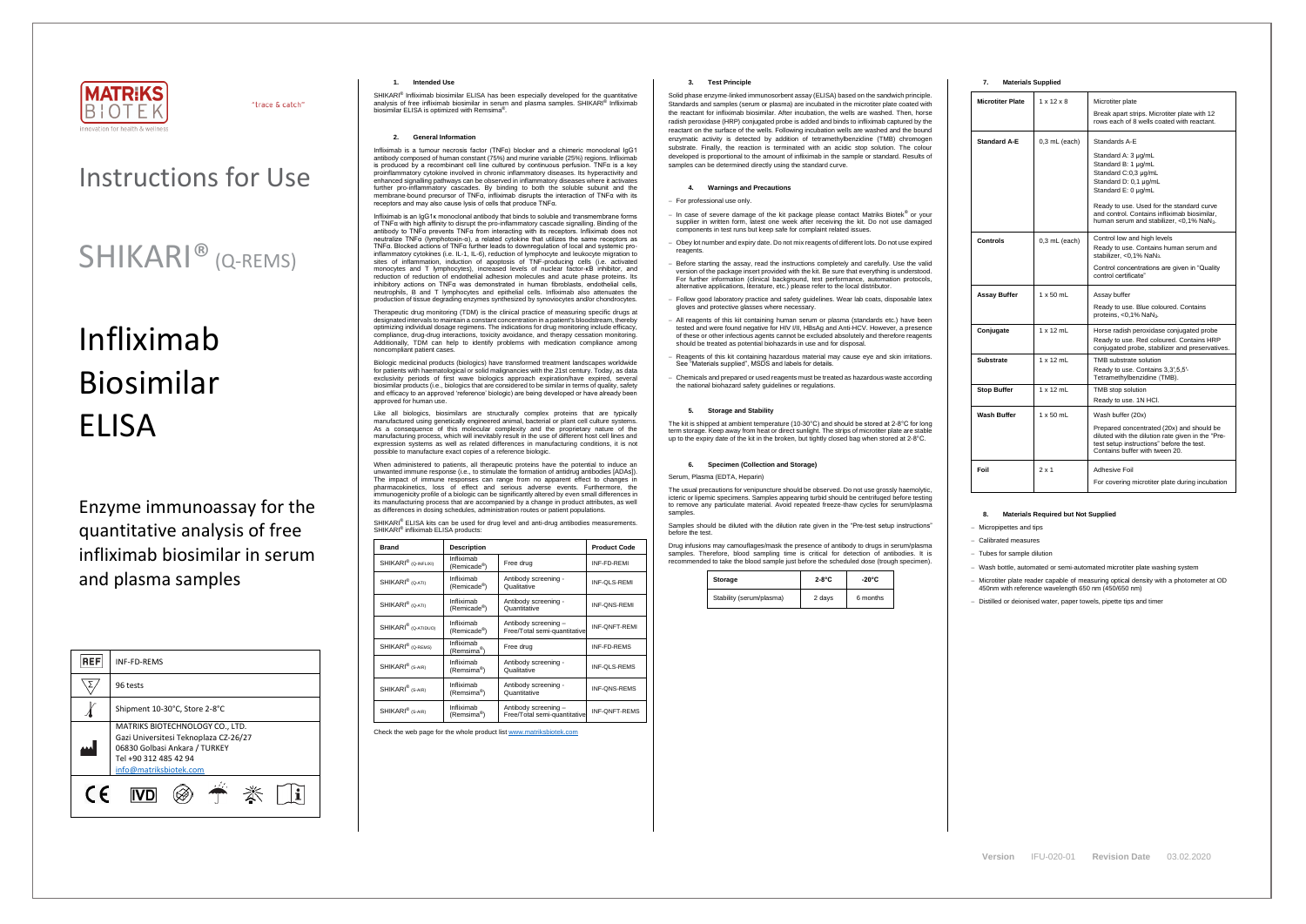

"trace & catch"

# Instructions for Use

# SHIKARI® (Q-REMS)

# Infliximab Biosimilar ELISA

Enzyme immunoassay for the quantitative analysis of free infliximab biosimilar in serum and plasma samples

| <b>REF</b> | INF-FD-REMS                                                                                                                                                  |  |  |
|------------|--------------------------------------------------------------------------------------------------------------------------------------------------------------|--|--|
|            | 96 tests                                                                                                                                                     |  |  |
|            | Shipment 10-30°C, Store 2-8°C                                                                                                                                |  |  |
|            | MATRIKS BIOTECHNOLOGY CO., LTD.<br>Gazi Universitesi Teknoplaza CZ-26/27<br>06830 Golbasi Ankara / TURKEY<br>Tel +90 312 485 42 94<br>info@matriksbiotek.com |  |  |
| (F         |                                                                                                                                                              |  |  |

SHIKARI<sup>®</sup> Infliximab biosimilar ELISA has been especially developed for the quantitative analysis of free infliximab biosimilar in serum and plasma samples. SHIKARI<sup>®</sup> Infliximab biosimilar ELISA is optimized with Remsima® .

#### **1. Intended Use**

#### **2. General Information**

Infliximab is a tumour necrosis factor (TNFα) blocker and a chimeric monoclonal IgG1 antibody composed of human constant (75%) and murine variable (25%) regions. Infliximab is produced by a recombinant cell line cultured by continuous perfusion. TNFα is a key proinflammatory cytokine involved in chronic inflammatory diseases. Its hyperactivity and enhanced signalling pathways can be observed in inflammatory diseases where it activates further pro-inflammatory cascades. By binding to both the soluble subunit and the membrane-bound precursor of TNFα, infliximab disrupts the interaction of TNFα with its receptors and may also cause lysis of cells that produce TNFα.

Therapeutic drug monitoring (TDM) is the clinical practice of measuring specific drugs at designated intervals to maintain a constant concentration in a patient's bloodstream, thereby optimizing individual dosage regimens. The indications for drug monitoring include efficacy, compliance, drug-drug interactions, toxicity avoidance, and therapy cessation monitoring. Additionally, TDM can help to identify problems with medication compliance among noncompliant patient case

Infliximab is an IgG1κ monoclonal antibody that binds to soluble and transmembrane forms of TNFα with high affinity to disrupt the pro-inflammatory cascade signalling. Binding of the antibody to TNFα prevents TNFα from interacting with its receptors. Infliximab does not neutralize TNFα (lymphotoxin-α), a related cytokine that utilizes the same receptors as TNFα. Blocked actions of TNFα further leads to downregulation of local and systemic proinflammatory cytokines (i.e. IL-1, IL-6), reduction of lymphocyte and leukocyte migration to sites of inflammation, induction of apoptosis of TNF-producing cells (i.e. activated monocytes and T lymphocytes), increased levels of nuclear factor-κB inhibitor, and reduction of reduction of endothelial adhesion molecules and acute phase proteins. Its inhibitory actions on TNF $\alpha$  was demonstrated in human fibroblasts, endothelial cells, neutrophils, B and T lymphocytes and epithelial cells. Infliximab also attenuates the production of tissue degrading enzymes synthesized by synoviocytes and/or chondrocytes.

Biologic medicinal products (biologics) have transformed treatment landscapes worldwide for patients with haematological or solid malignancies with the 21st century. Today, as data exclusivity periods of first wave biologics approach expiration/have expired, several biosimilar products (i.e., biologics that are considered to be similar in terms of quality, safety and efficacy to an approved 'reference' biologic) are being developed or have already been approved for human use.

Like all biologics, biosimilars are structurally complex proteins that are typically manufactured using genetically engineered animal, bacterial or plant cell culture systems. As a consequence of this molecular complexity and the proprietary nature of the manufacturing process, which will inevitably result in the use of different host cell lines and expression systems as well as related differences in manufacturing conditions, it is not possible to manufacture exact copies of a reference biologic.

When administered to patients, all therapeutic proteins have the potential to induce an unwanted immune response (i.e., to stimulate the formation of antidrug antibodies [ADAs]). The impact of immune responses can range from no apparent effect to changes in pharmacokinetics, loss of effect and serious adverse events. Furthermore, the immunogenicity profile of a biologic can be significantly altered by even small differences in its manufacturing process that are accompanied by a change in product attributes, as well as differences in dosing schedules, administration routes or patient populations.

SHIKARI<sup>®</sup> ELISA kits can be used for drug level and anti-drug antibodies measurements. SHIKARI<sup>®</sup> infliximab ELISA products:

| <b>Brand</b>                                              | <b>Description</b>                    |                                                      | <b>Product Code</b>  |
|-----------------------------------------------------------|---------------------------------------|------------------------------------------------------|----------------------|
| SHIKARI <sup>®</sup> (Q-INFLIXI)                          | Infliximab<br>(Remicade®)             | Free drug                                            | INF-FD-REMI          |
| SHIKARI <sup>®</sup> (Q-ATI)                              | Infliximab<br>(Remicade®)             | Antibody screening -<br>Qualitative                  | INF-QLS-REMI         |
| Infliximab<br>SHIKARI <sup>®</sup> (Q-ATI)<br>(Remicade®) |                                       | Antibody screening -<br>Quantitative                 | INF-QNS-REMI         |
| SHIKARI <sup>®</sup> (Q-ATIDUO)                           | Infliximab<br>(Remicade®)             | Antibody screening -<br>Free/Total semi-quantitative | <b>INF-ONFT-REMI</b> |
| Infliximab<br>SHIKARI <sup>®</sup> (Q-REMS)<br>(Remsima®) |                                       | Free drug                                            | <b>INF-FD-REMS</b>   |
| SHIKARI <sup>®</sup> (S-AIR)                              | Infliximab<br>(Remsima <sup>®</sup> ) | Antibody screening -<br>Qualitative                  | <b>INF-QLS-REMS</b>  |
| SHIKARI <sup>®</sup> (S-AIR)                              | Infliximab<br>(Remsima <sup>®</sup> ) | Antibody screening -<br>Quantitative                 | <b>INF-QNS-REMS</b>  |
| SHIKARI <sup>®</sup> (S-AIR)                              | Infliximab<br>(Remsima <sup>®</sup> ) | Antibody screening -<br>Free/Total semi-quantitative | INF-QNFT-REMS        |

Check the web page for the whole product lis[t www.matriksbiotek.com](http://www.matriksbiotek.com/)

# **3. Test Principle**

Solid phase enzyme-linked immunosorbent assay (ELISA) based on the sandwich principle. Standards and samples (serum or plasma) are incubated in the microtiter plate coated with the reactant for infliximab biosimilar. After incubation, the wells are washed. Then, horse radish peroxidase (HRP) conjugated probe is added and binds to infliximab captured by the reactant on the surface of the wells. Following incubation wells are washed and the bound enzymatic activity is detected by addition of tetramethylbenzidine (TMB) chromogen substrate. Finally, the reaction is terminated with an acidic stop solution. The colour developed is proportional to the amount of infliximab in the sample or standard. Results of samples can be determined directly using the standard curve.

## **4. Warnings and Precautions**

## − For professional use only.

- − In case of severe damage of the kit package please contact Matriks Biotek® or your supplier in written form, latest one week after receiving the kit. Do not use damaged components in test runs but keep safe for complaint related issues.
- − Obey lot number and expiry date. Do not mix reagents of different lots. Do not use expired reagents
- − Before starting the assay, read the instructions completely and carefully. Use the valid version of the package insert provided with the kit. Be sure that everything is understood. For further information (clinical background, test performance, automation protocols, alternative applications, literature, etc.) please refer to the local distributor.
- − Follow good laboratory practice and safety guidelines. Wear lab coats, disposable latex gloves and protective glasses where necessary.
- − All reagents of this kit containing human serum or plasma (standards etc.) have been tested and were found negative for HIV I/II, HBsAg and Anti-HCV. However, a presence of these or other infectious agents cannot be excluded absolutely and therefore reagents should be treated as potential biohazards in use and for disposal.
- Reagents of this kit containing hazardous material may cause eye and skin irritations. See "Materials supplied", MSDS and labels for details.
- − Chemicals and prepared or used reagents must be treated as hazardous waste according the national biohazard safety guidelines or regulations.

#### **5. Storage and Stability**

The kit is shipped at ambient temperature (10-30°C) and should be stored at 2-8°C for long term storage. Keep away from heat or direct sunlight. The strips of microtiter plate are stable up to the expiry date of the kit in the broken, but tightly closed bag when stored at 2-8°C.

# **6. Specimen (Collection and Storage)**

Serum, Plasma (EDTA, Heparin)

The usual precautions for venipuncture should be observed. Do not use grossly haemolytic, icteric or lipemic specimens. Samples appearing turbid should be centrifuged before testing to remove any particulate material. Avoid repeated freeze-thaw cycles for serum/plasma samples.

Samples should be diluted with the dilution rate given in the "Pre-test setup instructions" before the test.

Drug infusions may camouflages/mask the presence of antibody to drugs in serum/plasma samples. Therefore, blood sampling time is critical for detection of antibodies. It is recommended to take the blood sample just before the scheduled dose (trough specimen).

| Storage                  | $2-8$ °C | $-20^{\circ}$ C |
|--------------------------|----------|-----------------|
| Stability (serum/plasma) | 2 days   | 6 months        |

# **7. Materials Supplied**

| <b>Microtiter Plate</b> | $1 \times 12 \times 8$ | Microtiter plate                                                                                                                                                              |
|-------------------------|------------------------|-------------------------------------------------------------------------------------------------------------------------------------------------------------------------------|
|                         |                        | Break apart strips. Microtiter plate with 12<br>rows each of 8 wells coated with reactant.                                                                                    |
| Standard A-E            | $0,3$ mL (each)        | Standards A-E                                                                                                                                                                 |
|                         |                        | Standard A: 3 µg/mL<br>Standard B: 1 µg/mL<br>Standard C:0,3 µg/mL<br>Standard D: 0,1 µg/mL<br>Standard E: 0 µg/mL                                                            |
|                         |                        | Ready to use. Used for the standard curve<br>and control. Contains infliximab biosimilar,<br>human serum and stabilizer, <0,1% NaN3.                                          |
| Controls                | $0.3$ mL (each)        | Control low and high levels                                                                                                                                                   |
|                         |                        | Ready to use. Contains human serum and<br>stabilizer, <0,1% NaN <sub>3</sub> .                                                                                                |
|                         |                        | Control concentrations are given in "Quality"<br>control certificate"                                                                                                         |
| Assay Buffer            | $1 \times 50$ mL       | Assay buffer                                                                                                                                                                  |
|                         |                        | Ready to use. Blue coloured. Contains<br>proteins, <0,1% NaN <sub>3</sub> .                                                                                                   |
| Conjugate               | $1 \times 12$ mL       | Horse radish peroxidase conjugated probe<br>Ready to use. Red coloured. Contains HRP<br>conjugated probe, stabilizer and preservatives.                                       |
| Substrate               | $1 \times 12$ mL       | TMB substrate solution                                                                                                                                                        |
|                         |                        | Ready to use. Contains 3,3',5,5'-<br>Tetramethylbenzidine (TMB).                                                                                                              |
| <b>Stop Buffer</b>      | $1 \times 12$ mL       | TMB stop solution                                                                                                                                                             |
|                         |                        | Ready to use. 1N HCl.                                                                                                                                                         |
| Wash Buffer             | $1 \times 50$ mL       | Wash buffer (20x)                                                                                                                                                             |
|                         |                        | Prepared concentrated (20x) and should be<br>diluted with the dilution rate given in the "Pre-<br>test setup instructions" before the test.<br>Contains buffer with tween 20. |
| Foil                    | $2 \times 1$           | Adhesive Foil                                                                                                                                                                 |
|                         |                        | For covering microtiter plate during incubation                                                                                                                               |

# **8. Materials Required but Not Supplied**

− Micropipettes and tips

− Calibrated measures

− Tubes for sample dilution

− Wash bottle, automated or semi-automated microtiter plate washing system

− Microtiter plate reader capable of measuring optical density with a photometer at OD 450nm with reference wavelength 650 nm (450/650 nm)

− Distilled or deionised water, paper towels, pipette tips and timer